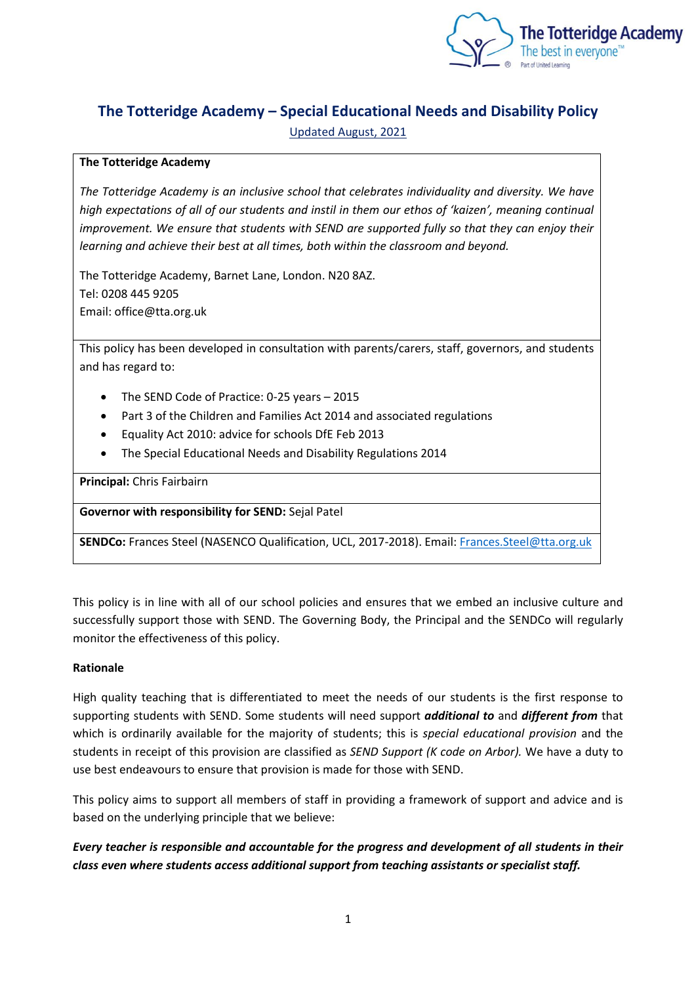

# **The Totteridge Academy – Special Educational Needs and Disability Policy** Updated August, 2021

# **The Totteridge Academy**

*The Totteridge Academy is an inclusive school that celebrates individuality and diversity. We have high expectations of all of our students and instil in them our ethos of 'kaizen', meaning continual improvement. We ensure that students with SEND are supported fully so that they can enjoy their learning and achieve their best at all times, both within the classroom and beyond.* 

The Totteridge Academy, Barnet Lane, London. N20 8AZ. Tel: 0208 445 9205 Email: office@tta.org.uk

This policy has been developed in consultation with parents/carers, staff, governors, and students and has regard to:

- The SEND Code of Practice: 0-25 years 2015
- Part 3 of the Children and Families Act 2014 and associated regulations
- Equality Act 2010: advice for schools DfE Feb 2013
- The Special Educational Needs and Disability Regulations 2014

**Principal:** Chris Fairbairn

**Governor with responsibility for SEND:** Sejal Patel

**SENDCo:** Frances Steel (NASENCO Qualification, UCL, 2017-2018). Email: [Frances.Steel@tta.org.uk](mailto:Frances.Steel@tta.org.uk)

This policy is in line with all of our school policies and ensures that we embed an inclusive culture and successfully support those with SEND. The Governing Body, the Principal and the SENDCo will regularly monitor the effectiveness of this policy.

### **Rationale**

High quality teaching that is differentiated to meet the needs of our students is the first response to supporting students with SEND. Some students will need support *additional to* and *different from* that which is ordinarily available for the majority of students; this is *special educational provision* and the students in receipt of this provision are classified as *SEND Support (K code on Arbor).* We have a duty to use best endeavours to ensure that provision is made for those with SEND.

This policy aims to support all members of staff in providing a framework of support and advice and is based on the underlying principle that we believe:

*Every teacher is responsible and accountable for the progress and development of all students in their class even where students access additional support from teaching assistants or specialist staff.*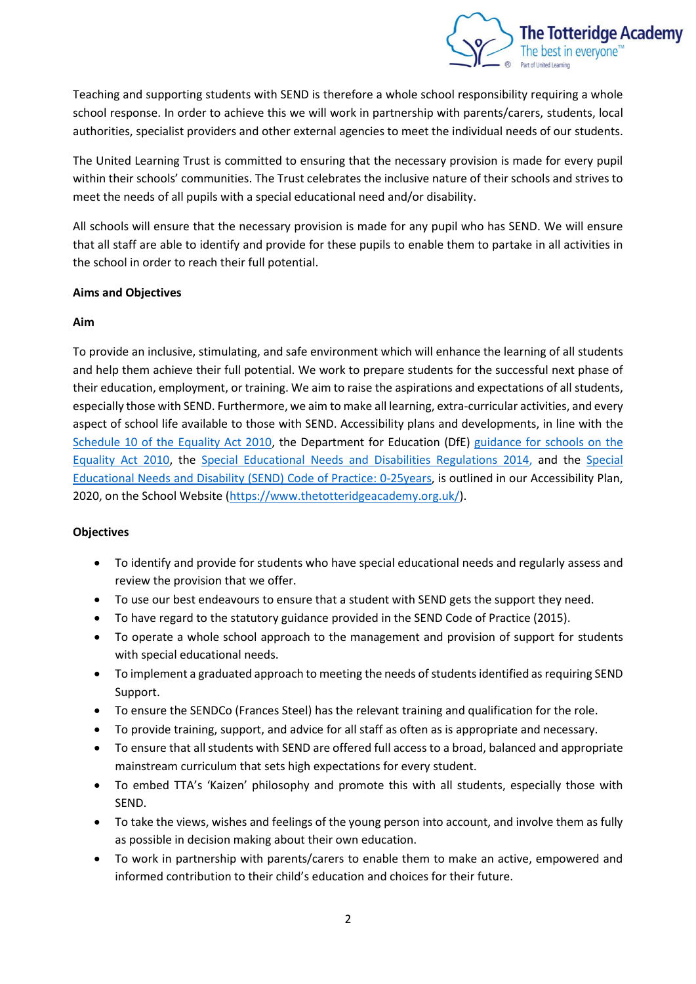

Teaching and supporting students with SEND is therefore a whole school responsibility requiring a whole school response. In order to achieve this we will work in partnership with parents/carers, students, local authorities, specialist providers and other external agencies to meet the individual needs of our students.

The United Learning Trust is committed to ensuring that the necessary provision is made for every pupil within their schools' communities. The Trust celebrates the inclusive nature of their schools and strives to meet the needs of all pupils with a special educational need and/or disability.

All schools will ensure that the necessary provision is made for any pupil who has SEND. We will ensure that all staff are able to identify and provide for these pupils to enable them to partake in all activities in the school in order to reach their full potential.

# **Aims and Objectives**

# **Aim**

To provide an inclusive, stimulating, and safe environment which will enhance the learning of all students and help them achieve their full potential. We work to prepare students for the successful next phase of their education, employment, or training. We aim to raise the aspirations and expectations of all students, especially those with SEND. Furthermore, we aim to make all learning, extra-curricular activities, and every aspect of school life available to those with SEND. Accessibility plans and developments, in line with the [Schedule 10 of the Equality Act 2010,](http://www.legislation.gov.uk/ukpga/2010/15/schedule/10) the Department for Education (DfE) [guidance for schools on the](https://www.gov.uk/government/publications/equality-act-2010-advice-for-schools)  [Equality Act 2010,](https://www.gov.uk/government/publications/equality-act-2010-advice-for-schools) the [Special Educational Needs and Disabilities Regulations](https://www.gov.uk/government/publications/send-code-of-practice-0-to-25) 2014, and the [Special](https://www.gov.uk/government/publications/send-code-of-practice-0-to-25)  [Educational Needs and Disability \(SEND\) Code of Practice:](https://www.gov.uk/government/publications/send-code-of-practice-0-to-25) 0-25years, is outlined in our Accessibility Plan, 2020, on the School Website [\(https://www.thetotteridgeacademy.org.uk/\)](https://www.thetotteridgeacademy.org.uk/).

# **Objectives**

- To identify and provide for students who have special educational needs and regularly assess and review the provision that we offer.
- To use our best endeavours to ensure that a student with SEND gets the support they need.
- To have regard to the statutory guidance provided in the SEND Code of Practice (2015).
- To operate a whole school approach to the management and provision of support for students with special educational needs.
- To implement a graduated approach to meeting the needs of students identified as requiring SEND Support.
- To ensure the SENDCo (Frances Steel) has the relevant training and qualification for the role.
- To provide training, support, and advice for all staff as often as is appropriate and necessary.
- To ensure that all students with SEND are offered full access to a broad, balanced and appropriate mainstream curriculum that sets high expectations for every student.
- To embed TTA's 'Kaizen' philosophy and promote this with all students, especially those with SEND.
- To take the views, wishes and feelings of the young person into account, and involve them as fully as possible in decision making about their own education.
- To work in partnership with parents/carers to enable them to make an active, empowered and informed contribution to their child's education and choices for their future.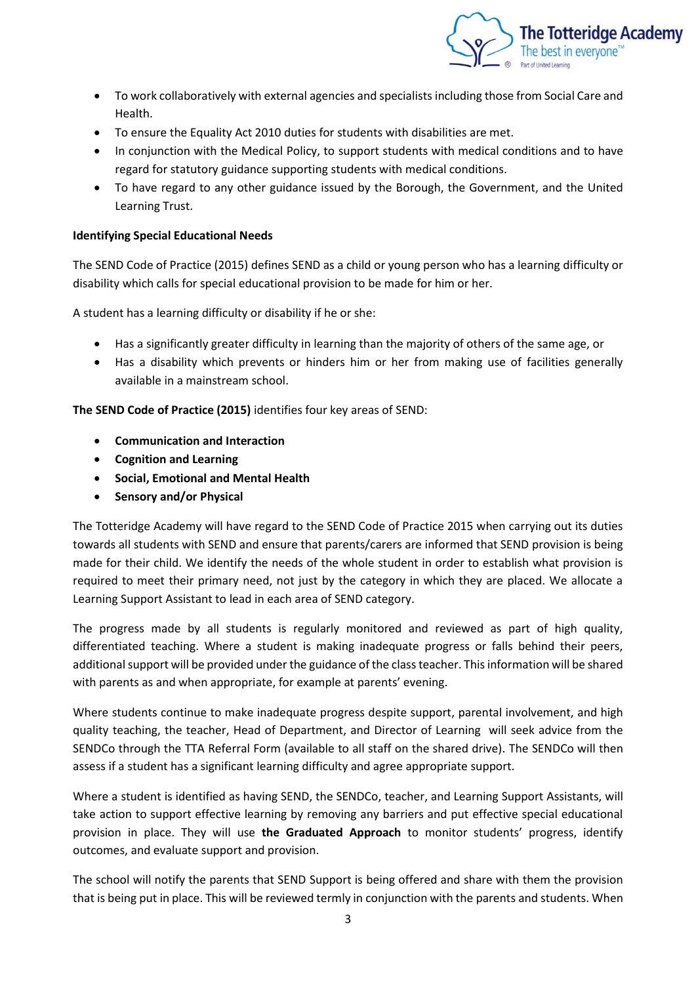

- To work collaboratively with external agencies and specialists including those from Social Care and Health.
- To ensure the Equality Act 2010 duties for students with disabilities are met.
- In conjunction with the Medical Policy, to support students with medical conditions and to have regard for statutory guidance supporting students with medical conditions.
- To have regard to any other guidance issued by the Borough, the Government, and the United Learning Trust.

# **Identifying Special Educational Needs**

The SEND Code of Practice (2015) defines SEND as a child or young person who has a learning difficulty or disability which calls for special educational provision to be made for him or her.

A student has a learning difficulty or disability if he or she:

- Has a significantly greater difficulty in learning than the majority of others of the same age, or
- Has a disability which prevents or hinders him or her from making use of facilities generally available in a mainstream school.

**The SEND Code of Practice (2015)** identifies four key areas of SEND:

- **Communication and Interaction**
- **Cognition and Learning**
- **Social, Emotional and Mental Health**
- **Sensory and/or Physical**

The Totteridge Academy will have regard to the SEND Code of Practice 2015 when carrying out its duties towards all students with SEND and ensure that parents/carers are informed that SEND provision is being made for their child. We identify the needs of the whole student in order to establish what provision is required to meet their primary need, not just by the category in which they are placed. We allocate a Learning Support Assistant to lead in each area of SEND category.

The progress made by all students is regularly monitored and reviewed as part of high quality, differentiated teaching. Where a student is making inadequate progress or falls behind their peers, additional support will be provided under the guidance of the class teacher. This information will be shared with parents as and when appropriate, for example at parents' evening.

Where students continue to make inadequate progress despite support, parental involvement, and high quality teaching, the teacher, Head of Department, and Director of Learning will seek advice from the SENDCo through the TTA Referral Form (available to all staff on the shared drive). The SENDCo will then assess if a student has a significant learning difficulty and agree appropriate support.

Where a student is identified as having SEND, the SENDCo, teacher, and Learning Support Assistants, will take action to support effective learning by removing any barriers and put effective special educational provision in place. They will use **the Graduated Approach** to monitor students' progress, identify outcomes, and evaluate support and provision.

The school will notify the parents that SEND Support is being offered and share with them the provision that is being put in place. This will be reviewed termly in conjunction with the parents and students. When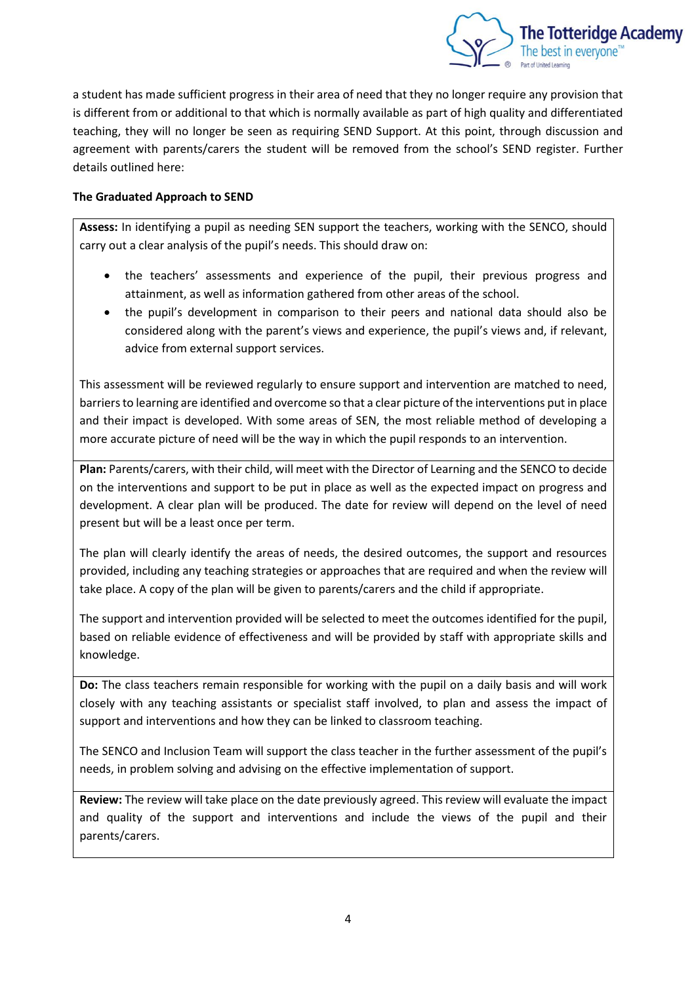

a student has made sufficient progress in their area of need that they no longer require any provision that is different from or additional to that which is normally available as part of high quality and differentiated teaching, they will no longer be seen as requiring SEND Support. At this point, through discussion and agreement with parents/carers the student will be removed from the school's SEND register. Further details outlined here:

# **The Graduated Approach to SEND**

**Assess:** In identifying a pupil as needing SEN support the teachers, working with the SENCO, should carry out a clear analysis of the pupil's needs. This should draw on:

- the teachers' assessments and experience of the pupil, their previous progress and attainment, as well as information gathered from other areas of the school.
- the pupil's development in comparison to their peers and national data should also be considered along with the parent's views and experience, the pupil's views and, if relevant, advice from external support services.

This assessment will be reviewed regularly to ensure support and intervention are matched to need, barriers to learning are identified and overcome so that a clear picture of the interventions put in place and their impact is developed. With some areas of SEN, the most reliable method of developing a more accurate picture of need will be the way in which the pupil responds to an intervention.

**Plan:** Parents/carers, with their child, will meet with the Director of Learning and the SENCO to decide on the interventions and support to be put in place as well as the expected impact on progress and development. A clear plan will be produced. The date for review will depend on the level of need present but will be a least once per term.

The plan will clearly identify the areas of needs, the desired outcomes, the support and resources provided, including any teaching strategies or approaches that are required and when the review will take place. A copy of the plan will be given to parents/carers and the child if appropriate.

The support and intervention provided will be selected to meet the outcomes identified for the pupil, based on reliable evidence of effectiveness and will be provided by staff with appropriate skills and knowledge.

**Do:** The class teachers remain responsible for working with the pupil on a daily basis and will work closely with any teaching assistants or specialist staff involved, to plan and assess the impact of support and interventions and how they can be linked to classroom teaching.

The SENCO and Inclusion Team will support the class teacher in the further assessment of the pupil's needs, in problem solving and advising on the effective implementation of support.

**Review:** The review will take place on the date previously agreed. This review will evaluate the impact and quality of the support and interventions and include the views of the pupil and their parents/carers.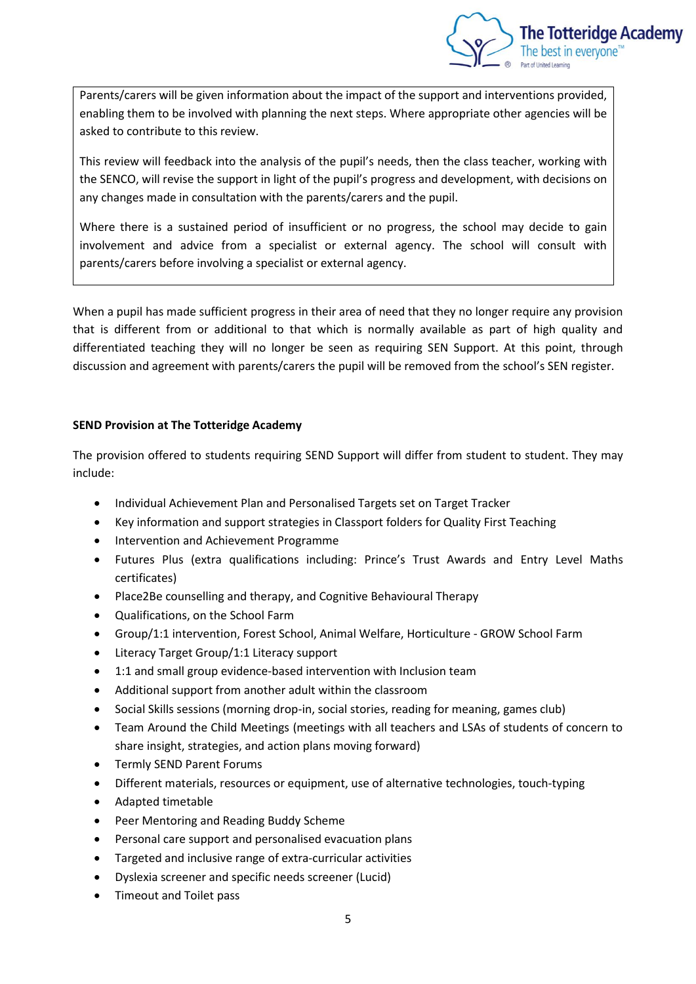

Parents/carers will be given information about the impact of the support and interventions provided, enabling them to be involved with planning the next steps. Where appropriate other agencies will be asked to contribute to this review.

This review will feedback into the analysis of the pupil's needs, then the class teacher, working with the SENCO, will revise the support in light of the pupil's progress and development, with decisions on any changes made in consultation with the parents/carers and the pupil.

Where there is a sustained period of insufficient or no progress, the school may decide to gain involvement and advice from a specialist or external agency. The school will consult with parents/carers before involving a specialist or external agency.

When a pupil has made sufficient progress in their area of need that they no longer require any provision that is different from or additional to that which is normally available as part of high quality and differentiated teaching they will no longer be seen as requiring SEN Support. At this point, through discussion and agreement with parents/carers the pupil will be removed from the school's SEN register.

# **SEND Provision at The Totteridge Academy**

The provision offered to students requiring SEND Support will differ from student to student. They may include:

- Individual Achievement Plan and Personalised Targets set on Target Tracker
- Key information and support strategies in Classport folders for Quality First Teaching
- Intervention and Achievement Programme
- Futures Plus (extra qualifications including: Prince's Trust Awards and Entry Level Maths certificates)
- Place2Be counselling and therapy, and Cognitive Behavioural Therapy
- Qualifications, on the School Farm
- Group/1:1 intervention, Forest School, Animal Welfare, Horticulture GROW School Farm
- Literacy Target Group/1:1 Literacy support
- 1:1 and small group evidence-based intervention with Inclusion team
- Additional support from another adult within the classroom
- Social Skills sessions (morning drop-in, social stories, reading for meaning, games club)
- Team Around the Child Meetings (meetings with all teachers and LSAs of students of concern to share insight, strategies, and action plans moving forward)
- Termly SEND Parent Forums
- Different materials, resources or equipment, use of alternative technologies, touch-typing
- Adapted timetable
- Peer Mentoring and Reading Buddy Scheme
- Personal care support and personalised evacuation plans
- Targeted and inclusive range of extra-curricular activities
- Dyslexia screener and specific needs screener (Lucid)
- Timeout and Toilet pass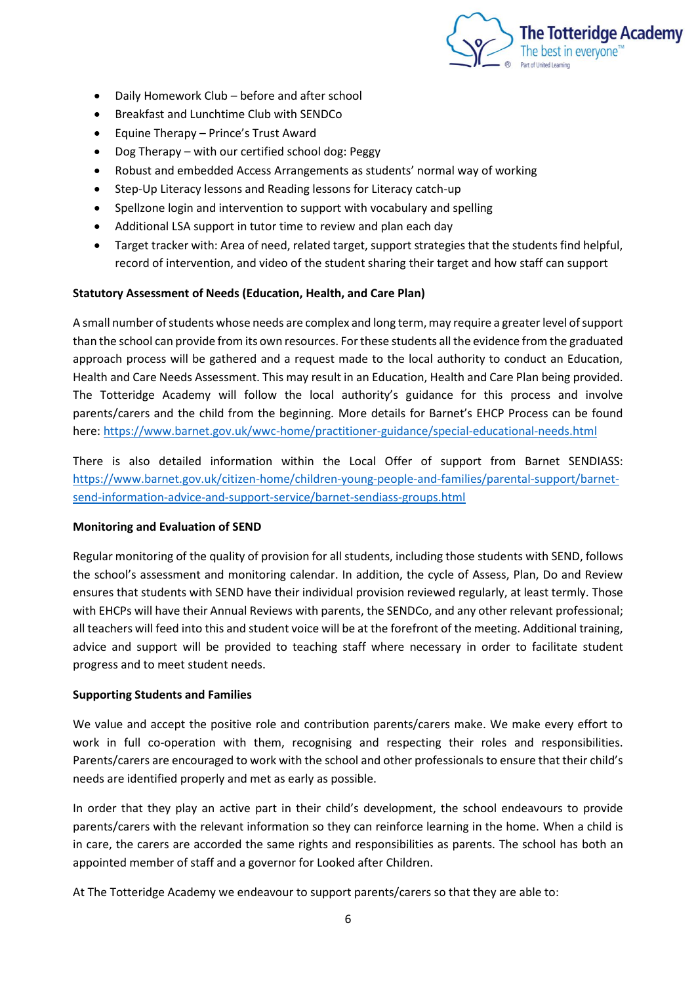

- Daily Homework Club before and after school
- Breakfast and Lunchtime Club with SENDCo
- Equine Therapy Prince's Trust Award
- Dog Therapy with our certified school dog: Peggy
- Robust and embedded Access Arrangements as students' normal way of working
- Step-Up Literacy lessons and Reading lessons for Literacy catch-up
- Spellzone login and intervention to support with vocabulary and spelling
- Additional LSA support in tutor time to review and plan each day
- Target tracker with: Area of need, related target, support strategies that the students find helpful, record of intervention, and video of the student sharing their target and how staff can support

#### **Statutory Assessment of Needs (Education, Health, and Care Plan)**

A small number of students whose needs are complex and long term, may require a greater level of support than the school can provide from its own resources. For these students all the evidence from the graduated approach process will be gathered and a request made to the local authority to conduct an Education, Health and Care Needs Assessment. This may result in an Education, Health and Care Plan being provided. The Totteridge Academy will follow the local authority's guidance for this process and involve parents/carers and the child from the beginning. More details for Barnet's EHCP Process can be found here:<https://www.barnet.gov.uk/wwc-home/practitioner-guidance/special-educational-needs.html>

There is also detailed information within the Local Offer of support from Barnet SENDIASS: [https://www.barnet.gov.uk/citizen-home/children-young-people-and-families/parental-support/barnet](https://www.barnet.gov.uk/citizen-home/children-young-people-and-families/parental-support/barnet-send-information-advice-and-support-service/barnet-sendiass-groups.html)[send-information-advice-and-support-service/barnet-sendiass-groups.html](https://www.barnet.gov.uk/citizen-home/children-young-people-and-families/parental-support/barnet-send-information-advice-and-support-service/barnet-sendiass-groups.html)

### **Monitoring and Evaluation of SEND**

Regular monitoring of the quality of provision for all students, including those students with SEND, follows the school's assessment and monitoring calendar. In addition, the cycle of Assess, Plan, Do and Review ensures that students with SEND have their individual provision reviewed regularly, at least termly. Those with EHCPs will have their Annual Reviews with parents, the SENDCo, and any other relevant professional; all teachers will feed into this and student voice will be at the forefront of the meeting. Additional training, advice and support will be provided to teaching staff where necessary in order to facilitate student progress and to meet student needs.

### **Supporting Students and Families**

We value and accept the positive role and contribution parents/carers make. We make every effort to work in full co-operation with them, recognising and respecting their roles and responsibilities. Parents/carers are encouraged to work with the school and other professionals to ensure that their child's needs are identified properly and met as early as possible.

In order that they play an active part in their child's development, the school endeavours to provide parents/carers with the relevant information so they can reinforce learning in the home. When a child is in care, the carers are accorded the same rights and responsibilities as parents. The school has both an appointed member of staff and a governor for Looked after Children.

At The Totteridge Academy we endeavour to support parents/carers so that they are able to: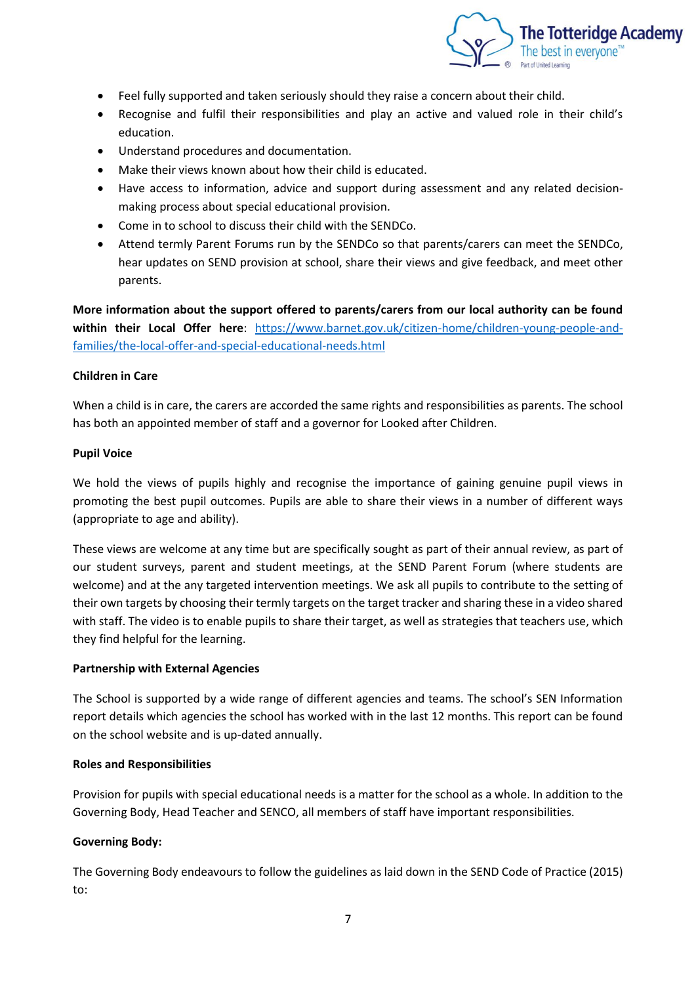

- Feel fully supported and taken seriously should they raise a concern about their child.
- Recognise and fulfil their responsibilities and play an active and valued role in their child's education.
- Understand procedures and documentation.
- Make their views known about how their child is educated.
- Have access to information, advice and support during assessment and any related decisionmaking process about special educational provision.
- Come in to school to discuss their child with the SENDCo.
- Attend termly Parent Forums run by the SENDCo so that parents/carers can meet the SENDCo, hear updates on SEND provision at school, share their views and give feedback, and meet other parents.

**More information about the support offered to parents/carers from our local authority can be found within their Local Offer here**: [https://www.barnet.gov.uk/citizen-home/children-young-people-and](https://www.barnet.gov.uk/citizen-home/children-young-people-and-families/the-local-offer-and-special-educational-needs.html)[families/the-local-offer-and-special-educational-needs.html](https://www.barnet.gov.uk/citizen-home/children-young-people-and-families/the-local-offer-and-special-educational-needs.html)

### **Children in Care**

When a child is in care, the carers are accorded the same rights and responsibilities as parents. The school has both an appointed member of staff and a governor for Looked after Children.

#### **Pupil Voice**

We hold the views of pupils highly and recognise the importance of gaining genuine pupil views in promoting the best pupil outcomes. Pupils are able to share their views in a number of different ways (appropriate to age and ability).

These views are welcome at any time but are specifically sought as part of their annual review, as part of our student surveys, parent and student meetings, at the SEND Parent Forum (where students are welcome) and at the any targeted intervention meetings. We ask all pupils to contribute to the setting of their own targets by choosing their termly targets on the target tracker and sharing these in a video shared with staff. The video is to enable pupils to share their target, as well as strategies that teachers use, which they find helpful for the learning.

#### **Partnership with External Agencies**

The School is supported by a wide range of different agencies and teams. The school's SEN Information report details which agencies the school has worked with in the last 12 months. This report can be found on the school website and is up-dated annually.

#### **Roles and Responsibilities**

Provision for pupils with special educational needs is a matter for the school as a whole. In addition to the Governing Body, Head Teacher and SENCO, all members of staff have important responsibilities.

### **Governing Body:**

The Governing Body endeavours to follow the guidelines as laid down in the SEND Code of Practice (2015) to: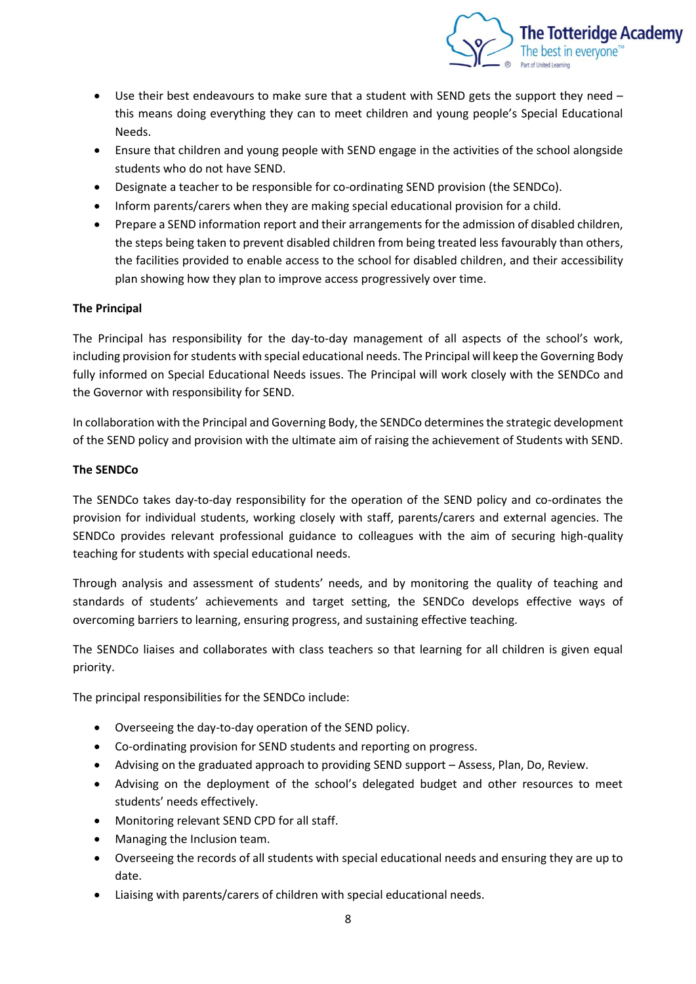

- Use their best endeavours to make sure that a student with SEND gets the support they need this means doing everything they can to meet children and young people's Special Educational Needs.
- Ensure that children and young people with SEND engage in the activities of the school alongside students who do not have SEND.
- Designate a teacher to be responsible for co-ordinating SEND provision (the SENDCo).
- Inform parents/carers when they are making special educational provision for a child.
- Prepare a SEND information report and their arrangements for the admission of disabled children, the steps being taken to prevent disabled children from being treated less favourably than others, the facilities provided to enable access to the school for disabled children, and their accessibility plan showing how they plan to improve access progressively over time.

# **The Principal**

The Principal has responsibility for the day-to-day management of all aspects of the school's work, including provision for students with special educational needs. The Principal will keep the Governing Body fully informed on Special Educational Needs issues. The Principal will work closely with the SENDCo and the Governor with responsibility for SEND.

In collaboration with the Principal and Governing Body, the SENDCo determines the strategic development of the SEND policy and provision with the ultimate aim of raising the achievement of Students with SEND.

# **The SENDCo**

The SENDCo takes day-to-day responsibility for the operation of the SEND policy and co-ordinates the provision for individual students, working closely with staff, parents/carers and external agencies. The SENDCo provides relevant professional guidance to colleagues with the aim of securing high-quality teaching for students with special educational needs.

Through analysis and assessment of students' needs, and by monitoring the quality of teaching and standards of students' achievements and target setting, the SENDCo develops effective ways of overcoming barriers to learning, ensuring progress, and sustaining effective teaching.

The SENDCo liaises and collaborates with class teachers so that learning for all children is given equal priority.

The principal responsibilities for the SENDCo include:

- Overseeing the day-to-day operation of the SEND policy.
- Co-ordinating provision for SEND students and reporting on progress.
- Advising on the graduated approach to providing SEND support Assess, Plan, Do, Review.
- Advising on the deployment of the school's delegated budget and other resources to meet students' needs effectively.
- Monitoring relevant SEND CPD for all staff.
- Managing the Inclusion team.
- Overseeing the records of all students with special educational needs and ensuring they are up to date.
- Liaising with parents/carers of children with special educational needs.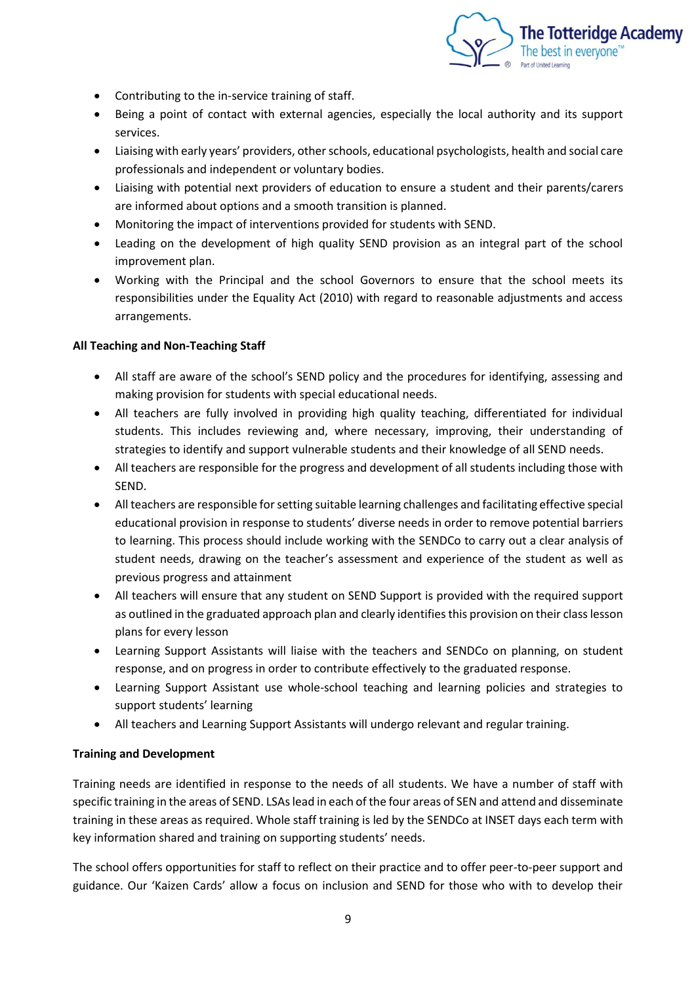

- Contributing to the in-service training of staff.
- Being a point of contact with external agencies, especially the local authority and its support services.
- Liaising with early years' providers, other schools, educational psychologists, health and social care professionals and independent or voluntary bodies.
- Liaising with potential next providers of education to ensure a student and their parents/carers are informed about options and a smooth transition is planned.
- Monitoring the impact of interventions provided for students with SEND.
- Leading on the development of high quality SEND provision as an integral part of the school improvement plan.
- Working with the Principal and the school Governors to ensure that the school meets its responsibilities under the Equality Act (2010) with regard to reasonable adjustments and access arrangements.

# **All Teaching and Non-Teaching Staff**

- All staff are aware of the school's SEND policy and the procedures for identifying, assessing and making provision for students with special educational needs.
- All teachers are fully involved in providing high quality teaching, differentiated for individual students. This includes reviewing and, where necessary, improving, their understanding of strategies to identify and support vulnerable students and their knowledge of all SEND needs.
- All teachers are responsible for the progress and development of all students including those with SEND.
- All teachers are responsible for setting suitable learning challenges and facilitating effective special educational provision in response to students' diverse needs in order to remove potential barriers to learning. This process should include working with the SENDCo to carry out a clear analysis of student needs, drawing on the teacher's assessment and experience of the student as well as previous progress and attainment
- All teachers will ensure that any student on SEND Support is provided with the required support as outlined in the graduated approach plan and clearly identifies this provision on their class lesson plans for every lesson
- Learning Support Assistants will liaise with the teachers and SENDCo on planning, on student response, and on progress in order to contribute effectively to the graduated response.
- Learning Support Assistant use whole-school teaching and learning policies and strategies to support students' learning
- All teachers and Learning Support Assistants will undergo relevant and regular training.

### **Training and Development**

Training needs are identified in response to the needs of all students. We have a number of staff with specific training in the areas of SEND. LSAs lead in each of the four areas of SEN and attend and disseminate training in these areas as required. Whole staff training is led by the SENDCo at INSET days each term with key information shared and training on supporting students' needs.

The school offers opportunities for staff to reflect on their practice and to offer peer-to-peer support and guidance. Our 'Kaizen Cards' allow a focus on inclusion and SEND for those who with to develop their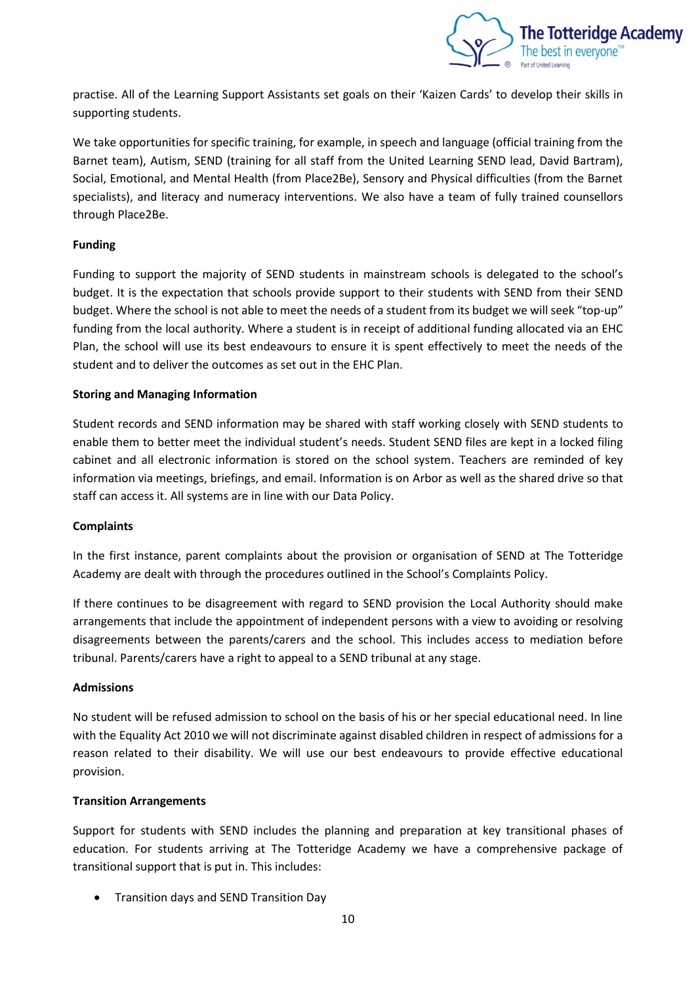

practise. All of the Learning Support Assistants set goals on their 'Kaizen Cards' to develop their skills in supporting students.

We take opportunities for specific training, for example, in speech and language (official training from the Barnet team), Autism, SEND (training for all staff from the United Learning SEND lead, David Bartram), Social, Emotional, and Mental Health (from Place2Be), Sensory and Physical difficulties (from the Barnet specialists), and literacy and numeracy interventions. We also have a team of fully trained counsellors through Place2Be.

# **Funding**

Funding to support the majority of SEND students in mainstream schools is delegated to the school's budget. It is the expectation that schools provide support to their students with SEND from their SEND budget. Where the school is not able to meet the needs of a student from its budget we will seek "top-up" funding from the local authority. Where a student is in receipt of additional funding allocated via an EHC Plan, the school will use its best endeavours to ensure it is spent effectively to meet the needs of the student and to deliver the outcomes as set out in the EHC Plan.

# **Storing and Managing Information**

Student records and SEND information may be shared with staff working closely with SEND students to enable them to better meet the individual student's needs. Student SEND files are kept in a locked filing cabinet and all electronic information is stored on the school system. Teachers are reminded of key information via meetings, briefings, and email. Information is on Arbor as well as the shared drive so that staff can access it. All systems are in line with our Data Policy.

### **Complaints**

In the first instance, parent complaints about the provision or organisation of SEND at The Totteridge Academy are dealt with through the procedures outlined in the School's Complaints Policy.

If there continues to be disagreement with regard to SEND provision the Local Authority should make arrangements that include the appointment of independent persons with a view to avoiding or resolving disagreements between the parents/carers and the school. This includes access to mediation before tribunal. Parents/carers have a right to appeal to a SEND tribunal at any stage.

### **Admissions**

No student will be refused admission to school on the basis of his or her special educational need. In line with the Equality Act 2010 we will not discriminate against disabled children in respect of admissions for a reason related to their disability. We will use our best endeavours to provide effective educational provision.

### **Transition Arrangements**

Support for students with SEND includes the planning and preparation at key transitional phases of education. For students arriving at The Totteridge Academy we have a comprehensive package of transitional support that is put in. This includes:

• Transition days and SEND Transition Day